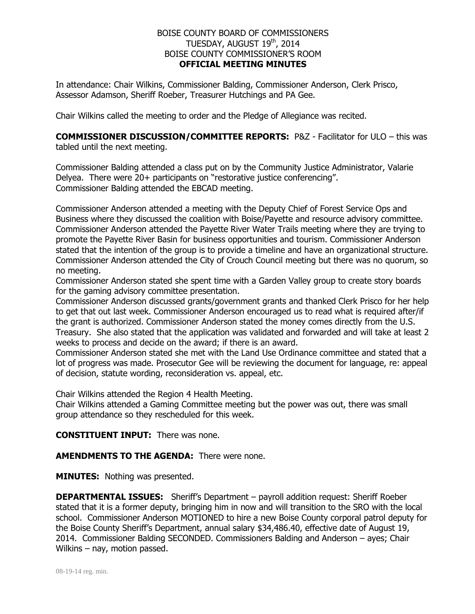#### BOISE COUNTY BOARD OF COMMISSIONERS TUESDAY, AUGUST 19th, 2014 BOISE COUNTY COMMISSIONER'S ROOM **OFFICIAL MEETING MINUTES**

In attendance: Chair Wilkins, Commissioner Balding, Commissioner Anderson, Clerk Prisco, Assessor Adamson, Sheriff Roeber, Treasurer Hutchings and PA Gee.

Chair Wilkins called the meeting to order and the Pledge of Allegiance was recited.

**COMMISSIONER DISCUSSION/COMMITTEE REPORTS:** P&Z - Facilitator for ULO – this was tabled until the next meeting.

Commissioner Balding attended a class put on by the Community Justice Administrator, Valarie Delyea. There were 20+ participants on "restorative justice conferencing". Commissioner Balding attended the EBCAD meeting.

Commissioner Anderson attended a meeting with the Deputy Chief of Forest Service Ops and Business where they discussed the coalition with Boise/Payette and resource advisory committee. Commissioner Anderson attended the Payette River Water Trails meeting where they are trying to promote the Payette River Basin for business opportunities and tourism. Commissioner Anderson stated that the intention of the group is to provide a timeline and have an organizational structure. Commissioner Anderson attended the City of Crouch Council meeting but there was no quorum, so no meeting.

Commissioner Anderson stated she spent time with a Garden Valley group to create story boards for the gaming advisory committee presentation.

Commissioner Anderson discussed grants/government grants and thanked Clerk Prisco for her help to get that out last week. Commissioner Anderson encouraged us to read what is required after/if the grant is authorized. Commissioner Anderson stated the money comes directly from the U.S. Treasury. She also stated that the application was validated and forwarded and will take at least 2 weeks to process and decide on the award; if there is an award.

Commissioner Anderson stated she met with the Land Use Ordinance committee and stated that a lot of progress was made. Prosecutor Gee will be reviewing the document for language, re: appeal of decision, statute wording, reconsideration vs. appeal, etc.

Chair Wilkins attended the Region 4 Health Meeting.

Chair Wilkins attended a Gaming Committee meeting but the power was out, there was small group attendance so they rescheduled for this week.

### **CONSTITUENT INPUT:** There was none.

### **AMENDMENTS TO THE AGENDA:** There were none.

**MINUTES:** Nothing was presented.

**DEPARTMENTAL ISSUES:** Sheriff's Department – payroll addition request: Sheriff Roeber stated that it is a former deputy, bringing him in now and will transition to the SRO with the local school. Commissioner Anderson MOTIONED to hire a new Boise County corporal patrol deputy for the Boise County Sheriff's Department, annual salary \$34,486.40, effective date of August 19, 2014. Commissioner Balding SECONDED. Commissioners Balding and Anderson – ayes; Chair Wilkins – nay, motion passed.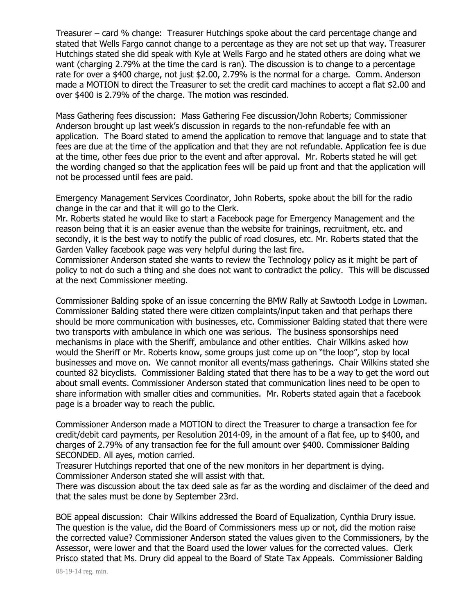Treasurer – card % change: Treasurer Hutchings spoke about the card percentage change and stated that Wells Fargo cannot change to a percentage as they are not set up that way. Treasurer Hutchings stated she did speak with Kyle at Wells Fargo and he stated others are doing what we want (charging 2.79% at the time the card is ran). The discussion is to change to a percentage rate for over a \$400 charge, not just \$2.00, 2.79% is the normal for a charge. Comm. Anderson made a MOTION to direct the Treasurer to set the credit card machines to accept a flat \$2.00 and over \$400 is 2.79% of the charge. The motion was rescinded.

Mass Gathering fees discussion: Mass Gathering Fee discussion/John Roberts; Commissioner Anderson brought up last week's discussion in regards to the non-refundable fee with an application. The Board stated to amend the application to remove that language and to state that fees are due at the time of the application and that they are not refundable. Application fee is due at the time, other fees due prior to the event and after approval. Mr. Roberts stated he will get the wording changed so that the application fees will be paid up front and that the application will not be processed until fees are paid.

Emergency Management Services Coordinator, John Roberts, spoke about the bill for the radio change in the car and that it will go to the Clerk.

Mr. Roberts stated he would like to start a Facebook page for Emergency Management and the reason being that it is an easier avenue than the website for trainings, recruitment, etc. and secondly, it is the best way to notify the public of road closures, etc. Mr. Roberts stated that the Garden Valley facebook page was very helpful during the last fire.

Commissioner Anderson stated she wants to review the Technology policy as it might be part of policy to not do such a thing and she does not want to contradict the policy. This will be discussed at the next Commissioner meeting.

Commissioner Balding spoke of an issue concerning the BMW Rally at Sawtooth Lodge in Lowman. Commissioner Balding stated there were citizen complaints/input taken and that perhaps there should be more communication with businesses, etc. Commissioner Balding stated that there were two transports with ambulance in which one was serious. The business sponsorships need mechanisms in place with the Sheriff, ambulance and other entities. Chair Wilkins asked how would the Sheriff or Mr. Roberts know, some groups just come up on "the loop", stop by local businesses and move on. We cannot monitor all events/mass gatherings. Chair Wilkins stated she counted 82 bicyclists. Commissioner Balding stated that there has to be a way to get the word out about small events. Commissioner Anderson stated that communication lines need to be open to share information with smaller cities and communities. Mr. Roberts stated again that a facebook page is a broader way to reach the public.

Commissioner Anderson made a MOTION to direct the Treasurer to charge a transaction fee for credit/debit card payments, per Resolution 2014-09, in the amount of a flat fee, up to \$400, and charges of 2.79% of any transaction fee for the full amount over \$400. Commissioner Balding SECONDED. All ayes, motion carried.

Treasurer Hutchings reported that one of the new monitors in her department is dying. Commissioner Anderson stated she will assist with that.

There was discussion about the tax deed sale as far as the wording and disclaimer of the deed and that the sales must be done by September 23rd.

BOE appeal discussion: Chair Wilkins addressed the Board of Equalization, Cynthia Drury issue. The question is the value, did the Board of Commissioners mess up or not, did the motion raise the corrected value? Commissioner Anderson stated the values given to the Commissioners, by the Assessor, were lower and that the Board used the lower values for the corrected values. Clerk Prisco stated that Ms. Drury did appeal to the Board of State Tax Appeals. Commissioner Balding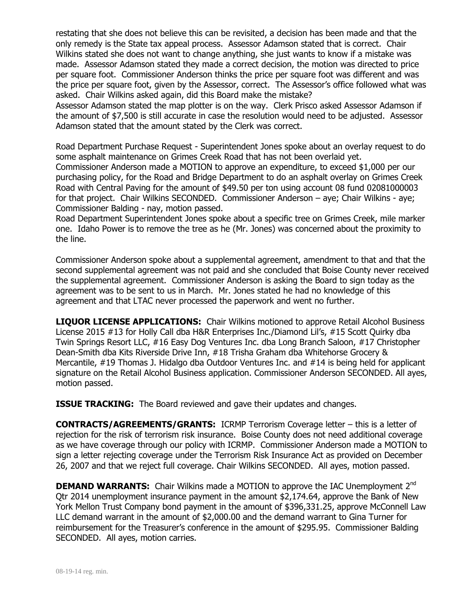restating that she does not believe this can be revisited, a decision has been made and that the only remedy is the State tax appeal process. Assessor Adamson stated that is correct. Chair Wilkins stated she does not want to change anything, she just wants to know if a mistake was made. Assessor Adamson stated they made a correct decision, the motion was directed to price per square foot. Commissioner Anderson thinks the price per square foot was different and was the price per square foot, given by the Assessor, correct. The Assessor's office followed what was asked. Chair Wilkins asked again, did this Board make the mistake?

Assessor Adamson stated the map plotter is on the way. Clerk Prisco asked Assessor Adamson if the amount of \$7,500 is still accurate in case the resolution would need to be adjusted. Assessor Adamson stated that the amount stated by the Clerk was correct.

Road Department Purchase Request - Superintendent Jones spoke about an overlay request to do some asphalt maintenance on Grimes Creek Road that has not been overlaid yet. Commissioner Anderson made a MOTION to approve an expenditure, to exceed \$1,000 per our purchasing policy, for the Road and Bridge Department to do an asphalt overlay on Grimes Creek Road with Central Paving for the amount of \$49.50 per ton using account 08 fund 02081000003 for that project. Chair Wilkins SECONDED. Commissioner Anderson – aye; Chair Wilkins - aye; Commissioner Balding - nay, motion passed.

Road Department Superintendent Jones spoke about a specific tree on Grimes Creek, mile marker one. Idaho Power is to remove the tree as he (Mr. Jones) was concerned about the proximity to the line.

Commissioner Anderson spoke about a supplemental agreement, amendment to that and that the second supplemental agreement was not paid and she concluded that Boise County never received the supplemental agreement. Commissioner Anderson is asking the Board to sign today as the agreement was to be sent to us in March. Mr. Jones stated he had no knowledge of this agreement and that LTAC never processed the paperwork and went no further.

**LIQUOR LICENSE APPLICATIONS:** Chair Wilkins motioned to approve Retail Alcohol Business License 2015 #13 for Holly Call dba H&R Enterprises Inc./Diamond Lil's, #15 Scott Quirky dba Twin Springs Resort LLC, #16 Easy Dog Ventures Inc. dba Long Branch Saloon, #17 Christopher Dean-Smith dba Kits Riverside Drive Inn, #18 Trisha Graham dba Whitehorse Grocery & Mercantile, #19 Thomas J. Hidalgo dba Outdoor Ventures Inc. and #14 is being held for applicant signature on the Retail Alcohol Business application. Commissioner Anderson SECONDED. All ayes, motion passed.

**ISSUE TRACKING:** The Board reviewed and gave their updates and changes.

**CONTRACTS/AGREEMENTS/GRANTS:** ICRMP Terrorism Coverage letter – this is a letter of rejection for the risk of terrorism risk insurance. Boise County does not need additional coverage as we have coverage through our policy with ICRMP. Commissioner Anderson made a MOTION to sign a letter rejecting coverage under the Terrorism Risk Insurance Act as provided on December 26, 2007 and that we reject full coverage. Chair Wilkins SECONDED. All ayes, motion passed.

**DEMAND WARRANTS:** Chair Wilkins made a MOTION to approve the IAC Unemployment 2<sup>nd</sup> Qtr 2014 unemployment insurance payment in the amount \$2,174.64, approve the Bank of New York Mellon Trust Company bond payment in the amount of \$396,331.25, approve McConnell Law LLC demand warrant in the amount of \$2,000.00 and the demand warrant to Gina Turner for reimbursement for the Treasurer's conference in the amount of \$295.95. Commissioner Balding SECONDED. All ayes, motion carries.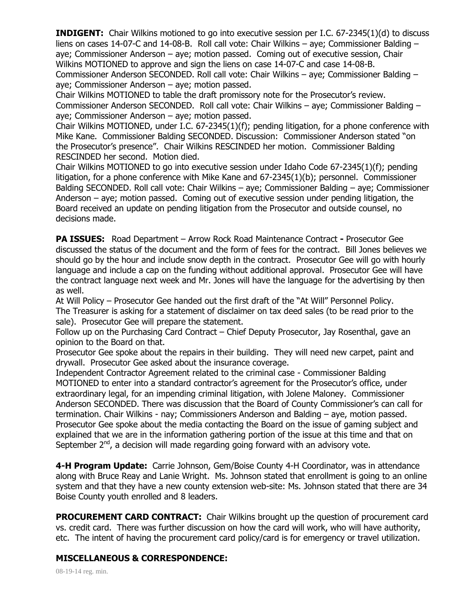**INDIGENT:** Chair Wilkins motioned to go into executive session per I.C. 67-2345(1)(d) to discuss liens on cases 14-07-C and 14-08-B. Roll call vote: Chair Wilkins – aye; Commissioner Balding – aye; Commissioner Anderson – aye; motion passed. Coming out of executive session, Chair Wilkins MOTIONED to approve and sign the liens on case 14-07-C and case 14-08-B. Commissioner Anderson SECONDED. Roll call vote: Chair Wilkins – aye; Commissioner Balding – aye; Commissioner Anderson – aye; motion passed.

Chair Wilkins MOTIONED to table the draft promissory note for the Prosecutor's review. Commissioner Anderson SECONDED. Roll call vote: Chair Wilkins – aye; Commissioner Balding – aye; Commissioner Anderson – aye; motion passed.

Chair Wilkins MOTIONED, under I.C. 67-2345(1)(f); pending litigation, for a phone conference with Mike Kane. Commissioner Balding SECONDED. Discussion: Commissioner Anderson stated "on the Prosecutor's presence". Chair Wilkins RESCINDED her motion. Commissioner Balding RESCINDED her second. Motion died.

Chair Wilkins MOTIONED to go into executive session under Idaho Code 67-2345(1)(f); pending litigation, for a phone conference with Mike Kane and 67-2345(1)(b); personnel. Commissioner Balding SECONDED. Roll call vote: Chair Wilkins – aye; Commissioner Balding – aye; Commissioner Anderson – aye; motion passed. Coming out of executive session under pending litigation, the Board received an update on pending litigation from the Prosecutor and outside counsel, no decisions made.

**PA ISSUES:** Road Department – Arrow Rock Road Maintenance Contract **-** Prosecutor Gee discussed the status of the document and the form of fees for the contract. Bill Jones believes we should go by the hour and include snow depth in the contract. Prosecutor Gee will go with hourly language and include a cap on the funding without additional approval. Prosecutor Gee will have the contract language next week and Mr. Jones will have the language for the advertising by then as well.

At Will Policy – Prosecutor Gee handed out the first draft of the "At Will" Personnel Policy. The Treasurer is asking for a statement of disclaimer on tax deed sales (to be read prior to the sale). Prosecutor Gee will prepare the statement.

Follow up on the Purchasing Card Contract – Chief Deputy Prosecutor, Jay Rosenthal, gave an opinion to the Board on that.

Prosecutor Gee spoke about the repairs in their building. They will need new carpet, paint and drywall. Prosecutor Gee asked about the insurance coverage.

Independent Contractor Agreement related to the criminal case - Commissioner Balding MOTIONED to enter into a standard contractor's agreement for the Prosecutor's office, under extraordinary legal, for an impending criminal litigation, with Jolene Maloney. Commissioner Anderson SECONDED. There was discussion that the Board of County Commissioner's can call for termination. Chair Wilkins - nay; Commissioners Anderson and Balding – aye, motion passed. Prosecutor Gee spoke about the media contacting the Board on the issue of gaming subject and explained that we are in the information gathering portion of the issue at this time and that on September  $2<sup>nd</sup>$ , a decision will made regarding going forward with an advisory vote.

**4-H Program Update:** Carrie Johnson, Gem/Boise County 4-H Coordinator, was in attendance along with Bruce Reay and Lanie Wright. Ms. Johnson stated that enrollment is going to an online system and that they have a new county extension web-site: Ms. Johnson stated that there are 34 Boise County youth enrolled and 8 leaders.

**PROCUREMENT CARD CONTRACT:** Chair Wilkins brought up the question of procurement card vs. credit card. There was further discussion on how the card will work, who will have authority, etc. The intent of having the procurement card policy/card is for emergency or travel utilization.

# **MISCELLANEOUS & CORRESPONDENCE:**

08-19-14 reg. min.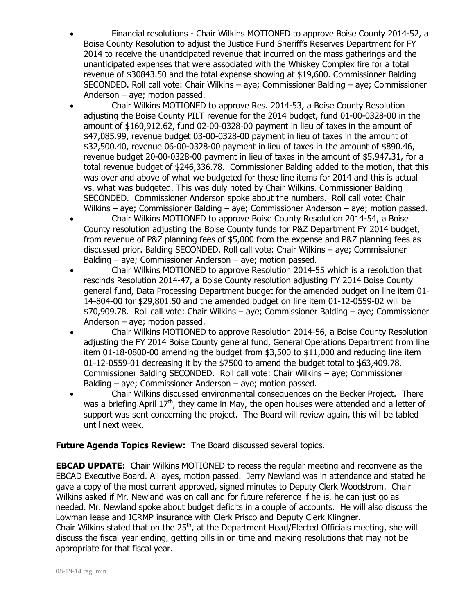- Financial resolutions Chair Wilkins MOTIONED to approve Boise County 2014-52, a Boise County Resolution to adjust the Justice Fund Sheriff's Reserves Department for FY 2014 to receive the unanticipated revenue that incurred on the mass gatherings and the unanticipated expenses that were associated with the Whiskey Complex fire for a total revenue of \$30843.50 and the total expense showing at \$19,600. Commissioner Balding SECONDED. Roll call vote: Chair Wilkins – aye; Commissioner Balding – aye; Commissioner Anderson – aye; motion passed.
- Chair Wilkins MOTIONED to approve Res. 2014-53, a Boise County Resolution adjusting the Boise County PILT revenue for the 2014 budget, fund 01-00-0328-00 in the amount of \$160,912.62, fund 02-00-0328-00 payment in lieu of taxes in the amount of \$47,085.99, revenue budget 03-00-0328-00 payment in lieu of taxes in the amount of \$32,500.40, revenue 06-00-0328-00 payment in lieu of taxes in the amount of \$890.46, revenue budget 20-00-0328-00 payment in lieu of taxes in the amount of \$5,947.31, for a total revenue budget of \$246,336.78. Commissioner Balding added to the motion, that this was over and above of what we budgeted for those line items for 2014 and this is actual vs. what was budgeted. This was duly noted by Chair Wilkins. Commissioner Balding SECONDED. Commissioner Anderson spoke about the numbers. Roll call vote: Chair Wilkins – aye; Commissioner Balding – aye; Commissioner Anderson – aye; motion passed.
- Chair Wilkins MOTIONED to approve Boise County Resolution 2014-54, a Boise County resolution adjusting the Boise County funds for P&Z Department FY 2014 budget, from revenue of P&Z planning fees of \$5,000 from the expense and P&Z planning fees as discussed prior. Balding SECONDED. Roll call vote: Chair Wilkins – aye; Commissioner Balding – aye; Commissioner Anderson – aye; motion passed.
- Chair Wilkins MOTIONED to approve Resolution 2014-55 which is a resolution that rescinds Resolution 2014-47, a Boise County resolution adjusting FY 2014 Boise County general fund, Data Processing Department budget for the amended budget on line item 01- 14-804-00 for \$29,801.50 and the amended budget on line item 01-12-0559-02 will be \$70,909.78. Roll call vote: Chair Wilkins – aye; Commissioner Balding – aye; Commissioner Anderson – aye; motion passed.
- Chair Wilkins MOTIONED to approve Resolution 2014-56, a Boise County Resolution adjusting the FY 2014 Boise County general fund, General Operations Department from line item 01-18-0800-00 amending the budget from \$3,500 to \$11,000 and reducing line item 01-12-0559-01 decreasing it by the \$7500 to amend the budget total to \$63,409.78. Commissioner Balding SECONDED. Roll call vote: Chair Wilkins – aye; Commissioner Balding – aye; Commissioner Anderson – aye; motion passed.
- Chair Wilkins discussed environmental consequences on the Becker Project. There was a briefing April  $17<sup>th</sup>$ , they came in May, the open houses were attended and a letter of support was sent concerning the project. The Board will review again, this will be tabled until next week.

# **Future Agenda Topics Review:** The Board discussed several topics.

**EBCAD UPDATE:** Chair Wilkins MOTIONED to recess the regular meeting and reconvene as the EBCAD Executive Board. All ayes, motion passed. Jerry Newland was in attendance and stated he gave a copy of the most current approved, signed minutes to Deputy Clerk Woodstrom. Chair Wilkins asked if Mr. Newland was on call and for future reference if he is, he can just go as needed. Mr. Newland spoke about budget deficits in a couple of accounts. He will also discuss the Lowman lease and ICRMP insurance with Clerk Prisco and Deputy Clerk Klingner. Chair Wilkins stated that on the 25<sup>th</sup>, at the Department Head/Elected Officials meeting, she will discuss the fiscal year ending, getting bills in on time and making resolutions that may not be appropriate for that fiscal year.